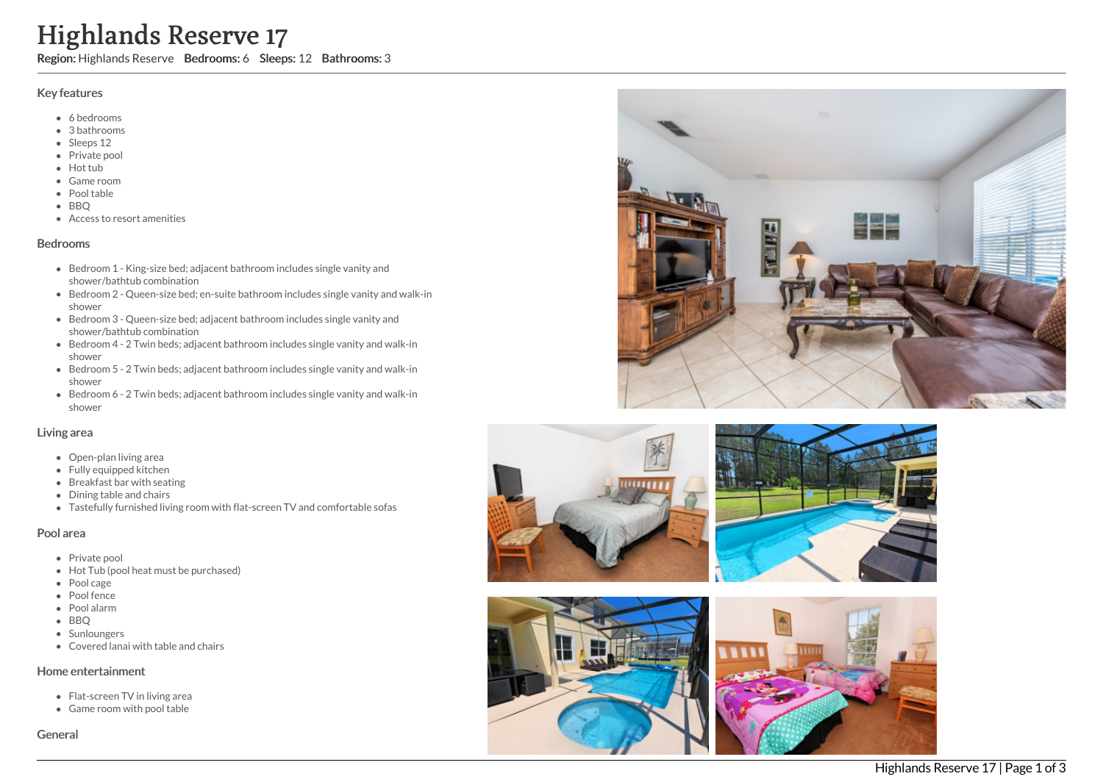# High<br>Region: Hi<br>Region: Hi<br>Region: Hi<br>Picky featur<br>Picky featur<br>Picky Ficky<br>Picky Redia<br>Picky Bedrashow<br>Bedrashow<br>Bedrashow<br>Bedrashow<br>Bedrashow<br>Bedrashow<br>Bedrashow<br>Bedrashow<br>Bedrashow<br>Bedrashow<br>Bedrashow<br>Bedrashow<br>Bedrasho hlands Reserve 17

Region: Highlands Reserve Bedrooms: 6 Sleeps: 12 Bathrooms: 3

## Key features

- 6 b e d r o o m s
- 3 b a t h r o o m s
- Sleeps 12
- Private pool
- Hot tub
- Game room
- Pool table
- BBQ
- Access to resort amenities

### **Bedrooms**

- Bedroom 1 King-size bed; adjacent bathroom includes single vanity and shower/bathtub combination
- Bedroom 2 Queen-size bed; en-suite bathroom includes single vanity and walk-in s h o w e r
- Bedroom 3 Queen-size bed; adjacent bathroom includes single vanity and shower/bathtub combination
- Bedroom 4 2 Twin beds; adjacent bathroom includes single vanity and walk-in s h o w e r
- Bedroom 5 2 Twin beds; adjacent bathroom includes single vanity and walk-in s h o w e r
- Bedroom 6 2 Twin beds; adjacent bathroom includes single vanity and walk-in s h o w e r

### Living area

- Open-plan living area
- Fully equipped kitchen
- Breakfast bar with seating
- Dining table and chairs
- Tastefully furnished living room with flat-screen TV and comfortable sofas

### Pool area

- Private pool
- Hot Tub (pool heat must be purchased)
- Pool cage
- Pool fence
- P o ol ala r m
- B B Q
- **Sunloungers**
- Covered lanai with table and chairs

### Home entertainment

- Flat-screen TV in living area
- Game room with pool table

Genera





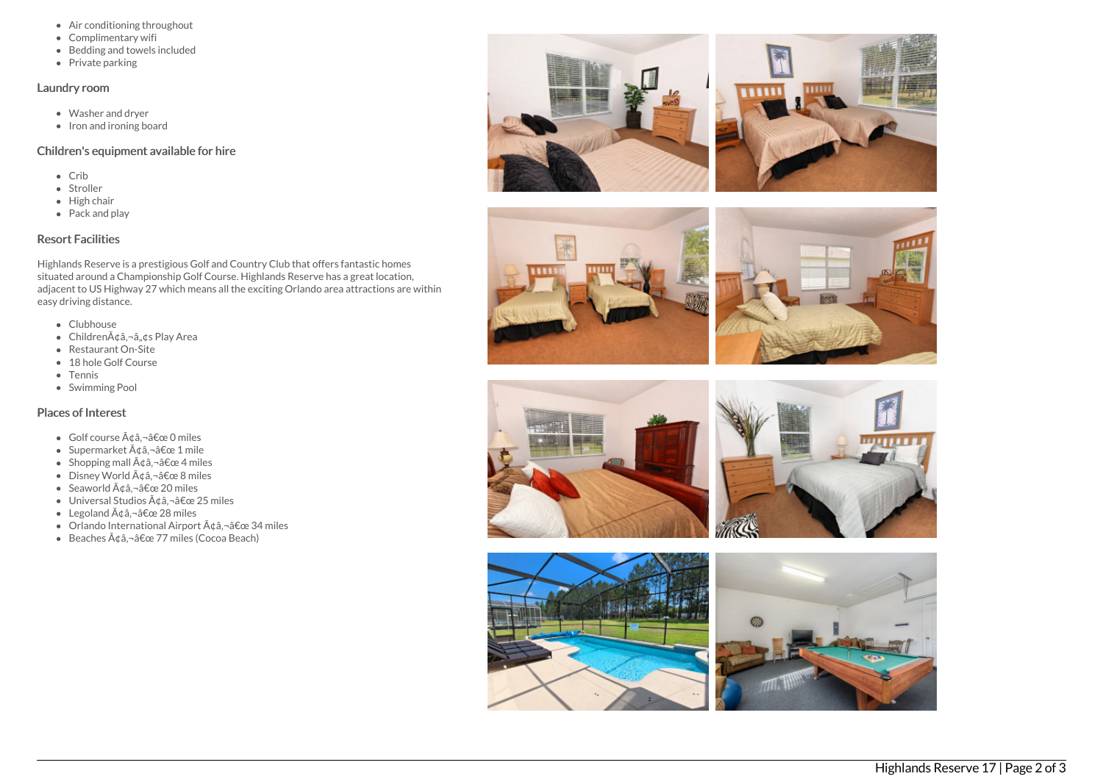- Air conditioning throughout
- Complimentary wifi
- Bedding and towels included
- Private parking

### Laundry room

- Washer and dryer
- Iron and ironing board

# Children's equipment available for hire

- $\bullet$  Crib
- Stroller
- $\bullet$  High chair
- Pack and play

# Resort Facilities

Highlands Reserve is a prestigious Golf and Country Club that offers fantastic homes situated around a Championship Golf Course. Highlands Reserve has a great location, adjacent to US Highway 27 which means all the exciting Orlando area attractions are within easy driving distance.

- Clubhouse
- Children $\tilde{A}$ ¢â.¬â..¢s Play Area
- Restaurant On-Site
- 18 hole Golf Course
- Tennis
- Swimming Pool

# Places of Interest

- $\bullet$  Golf course  $\tilde{A} \notin \hat{a}, \neg \hat{a} \in \mathbb{C}$  o miles
- Supermarket  $\tilde{A}$ ¢â,¬â€œ 1 mile
- Shopping mall  $\tilde{A} \notin \hat{a}$ ,  $\neg \hat{a} \notin \text{ce } 4$  miles
- $\bullet$  Disney World  $\tilde{A} \hat{\alpha}$   $\hat{\alpha}$   $\hat{\alpha} \in \mathcal{B}$  miles
- Seaworld  $\tilde{A}$ ¢â,¬â€œ 20 miles
- $\bullet$  Universal Studios  $\tilde{A}$ dâ.  $\neg$ â $\epsilon$ œ 25 miles
- Legoland  $\tilde{A} \notin \hat{a}$ ,  $\neg \hat{a} \notin \text{ce } 28$  miles
- $\bullet$  Orlando International Airport  $\tilde{A} \notin \hat{a}$ ,  $\tilde{a} \notin \infty$  34 miles
- $\bullet$  Beaches  $\tilde{A} \notin \hat{a}$ ,  $\neg \hat{a} \in \mathbb{C}$  are 77 miles (Cocoa Beach)